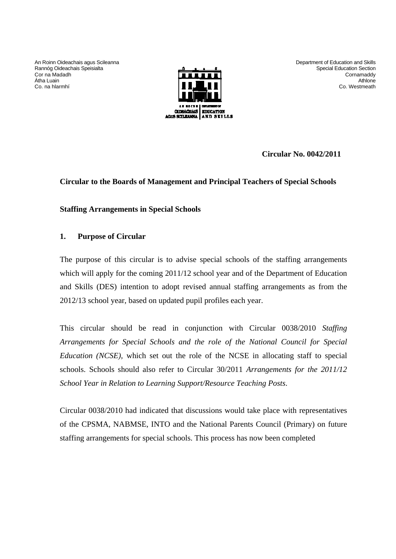An Roinn Oideachais agus Scileanna Rannóg Oideachais Speisialta Cor na Madadh Átha Luain Co. na hlarmhí



Department of Education and Skills Special Education Section Cornamaddy Athlone Co. Westmeath

**Circular No. 0042/2011** 

# **Circular to the Boards of Management and Principal Teachers of Special Schools**

**Staffing Arrangements in Special Schools** 

# **1. Purpose of Circular**

The purpose of this circular is to advise special schools of the staffing arrangements which will apply for the coming 2011/12 school year and of the Department of Education and Skills (DES) intention to adopt revised annual staffing arrangements as from the 2012/13 school year, based on updated pupil profiles each year.

This circular should be read in conjunction with Circular 0038/2010 *Staffing Arrangements for Special Schools and the role of the National Council for Special Education (NCSE),* which set out the role of the NCSE in allocating staff to special schools. Schools should also refer to Circular 30/2011 *Arrangements for the 2011/12 School Year in Relation to Learning Support/Resource Teaching Posts*.

Circular 0038/2010 had indicated that discussions would take place with representatives of the CPSMA, NABMSE, INTO and the National Parents Council (Primary) on future staffing arrangements for special schools. This process has now been completed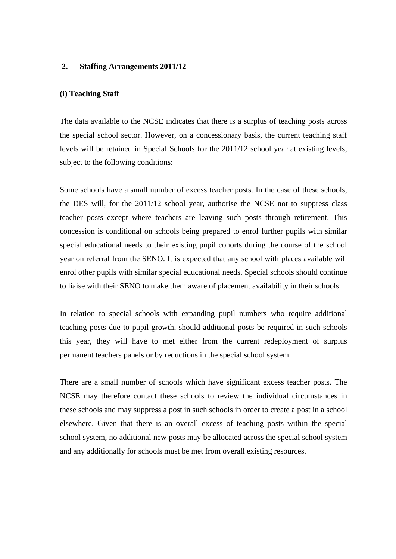### **2. Staffing Arrangements 2011/12**

#### **(i) Teaching Staff**

The data available to the NCSE indicates that there is a surplus of teaching posts across the special school sector. However, on a concessionary basis, the current teaching staff levels will be retained in Special Schools for the 2011/12 school year at existing levels, subject to the following conditions:

Some schools have a small number of excess teacher posts. In the case of these schools, the DES will, for the 2011/12 school year, authorise the NCSE not to suppress class teacher posts except where teachers are leaving such posts through retirement. This concession is conditional on schools being prepared to enrol further pupils with similar special educational needs to their existing pupil cohorts during the course of the school year on referral from the SENO. It is expected that any school with places available will enrol other pupils with similar special educational needs. Special schools should continue to liaise with their SENO to make them aware of placement availability in their schools.

In relation to special schools with expanding pupil numbers who require additional teaching posts due to pupil growth, should additional posts be required in such schools this year, they will have to met either from the current redeployment of surplus permanent teachers panels or by reductions in the special school system.

There are a small number of schools which have significant excess teacher posts. The NCSE may therefore contact these schools to review the individual circumstances in these schools and may suppress a post in such schools in order to create a post in a school elsewhere. Given that there is an overall excess of teaching posts within the special school system, no additional new posts may be allocated across the special school system and any additionally for schools must be met from overall existing resources.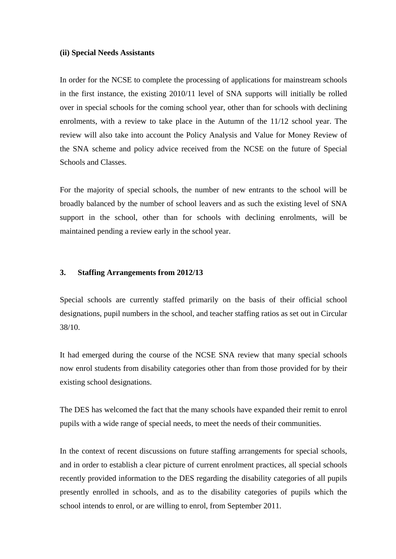#### **(ii) Special Needs Assistants**

In order for the NCSE to complete the processing of applications for mainstream schools in the first instance, the existing 2010/11 level of SNA supports will initially be rolled over in special schools for the coming school year, other than for schools with declining enrolments, with a review to take place in the Autumn of the 11/12 school year. The review will also take into account the Policy Analysis and Value for Money Review of the SNA scheme and policy advice received from the NCSE on the future of Special Schools and Classes.

For the majority of special schools, the number of new entrants to the school will be broadly balanced by the number of school leavers and as such the existing level of SNA support in the school, other than for schools with declining enrolments, will be maintained pending a review early in the school year.

### **3. Staffing Arrangements from 2012/13**

Special schools are currently staffed primarily on the basis of their official school designations, pupil numbers in the school, and teacher staffing ratios as set out in Circular 38/10.

It had emerged during the course of the NCSE SNA review that many special schools now enrol students from disability categories other than from those provided for by their existing school designations.

The DES has welcomed the fact that the many schools have expanded their remit to enrol pupils with a wide range of special needs, to meet the needs of their communities.

In the context of recent discussions on future staffing arrangements for special schools, and in order to establish a clear picture of current enrolment practices, all special schools recently provided information to the DES regarding the disability categories of all pupils presently enrolled in schools, and as to the disability categories of pupils which the school intends to enrol, or are willing to enrol, from September 2011.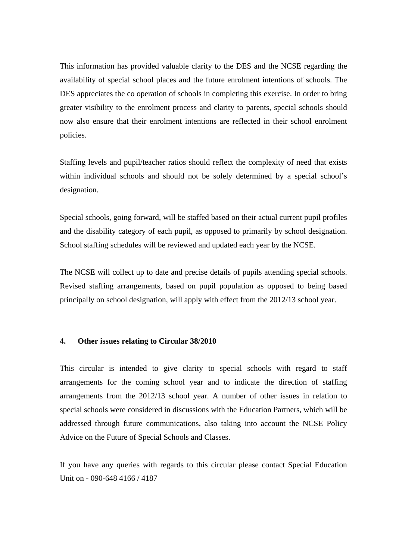This information has provided valuable clarity to the DES and the NCSE regarding the availability of special school places and the future enrolment intentions of schools. The DES appreciates the co operation of schools in completing this exercise. In order to bring greater visibility to the enrolment process and clarity to parents, special schools should now also ensure that their enrolment intentions are reflected in their school enrolment policies.

Staffing levels and pupil/teacher ratios should reflect the complexity of need that exists within individual schools and should not be solely determined by a special school's designation.

Special schools, going forward, will be staffed based on their actual current pupil profiles and the disability category of each pupil, as opposed to primarily by school designation. School staffing schedules will be reviewed and updated each year by the NCSE.

The NCSE will collect up to date and precise details of pupils attending special schools. Revised staffing arrangements, based on pupil population as opposed to being based principally on school designation, will apply with effect from the 2012/13 school year.

### **4. Other issues relating to Circular 38/2010**

This circular is intended to give clarity to special schools with regard to staff arrangements for the coming school year and to indicate the direction of staffing arrangements from the 2012/13 school year. A number of other issues in relation to special schools were considered in discussions with the Education Partners, which will be addressed through future communications, also taking into account the NCSE Policy Advice on the Future of Special Schools and Classes.

If you have any queries with regards to this circular please contact Special Education Unit on - 090-648 4166 / 4187